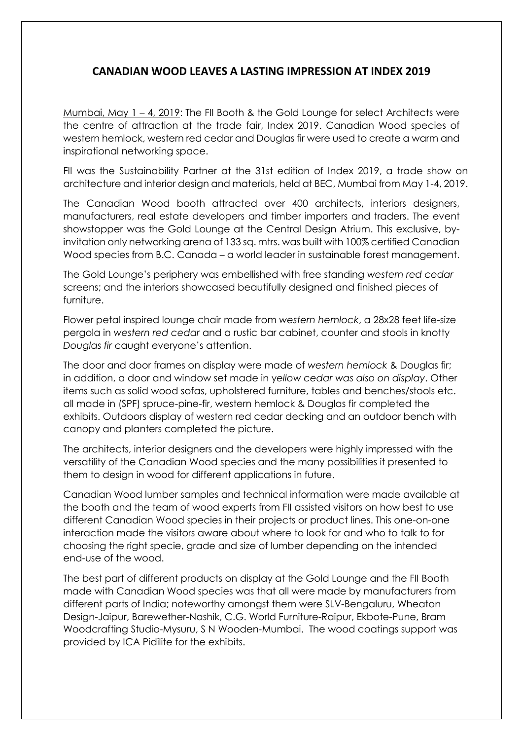## **CANADIAN WOOD LEAVES A LASTING IMPRESSION AT INDEX 2019**

Mumbai, May 1 – 4, 2019: The FII Booth & the Gold Lounge for select Architects were the centre of attraction at the trade fair, Index 2019. Canadian Wood species of western hemlock, western red cedar and Douglas fir were used to create a warm and inspirational networking space.

FII was the Sustainability Partner at the 31st edition of Index 2019, a trade show on architecture and interior design and materials, held at BEC, Mumbai from May 1-4, 2019.

The Canadian Wood booth attracted over 400 architects, interiors designers, manufacturers, real estate developers and timber importers and traders. The event showstopper was the Gold Lounge at the Central Design Atrium. This exclusive, byinvitation only networking arena of 133 sq. mtrs. was built with 100% certified Canadian Wood species from B.C. Canada – a world leader in sustainable forest management.

The Gold Lounge's periphery was embellished with free standing *western red cedar* screens; and the interiors showcased beautifully designed and finished pieces of furniture.

Flower petal inspired lounge chair made from *western hemlock*, a 28x28 feet life-size pergola in *western red cedar* and a rustic bar cabinet, counter and stools in knotty *Douglas fir* caught everyone's attention.

The door and door frames on display were made of *western hemlock* & Douglas fir; in addition, a door and window set made in y*ellow cedar was also on display*. Other items such as solid wood sofas, upholstered furniture, tables and benches/stools etc. all made in (SPF) spruce-pine-fir, western hemlock & Douglas fir completed the exhibits. Outdoors display of western red cedar decking and an outdoor bench with canopy and planters completed the picture.

The architects, interior designers and the developers were highly impressed with the versatility of the Canadian Wood species and the many possibilities it presented to them to design in wood for different applications in future.

Canadian Wood lumber samples and technical information were made available at the booth and the team of wood experts from FII assisted visitors on how best to use different Canadian Wood species in their projects or product lines. This one-on-one interaction made the visitors aware about where to look for and who to talk to for choosing the right specie, grade and size of lumber depending on the intended end-use of the wood.

The best part of different products on display at the Gold Lounge and the FII Booth made with Canadian Wood species was that all were made by manufacturers from different parts of India; noteworthy amongst them were SLV-Bengaluru, Wheaton Design-Jaipur, Barewether-Nashik, C.G. World Furniture-Raipur, Ekbote-Pune, Bram Woodcrafting Studio-Mysuru, S N Wooden-Mumbai. The wood coatings support was provided by ICA Pidilite for the exhibits.